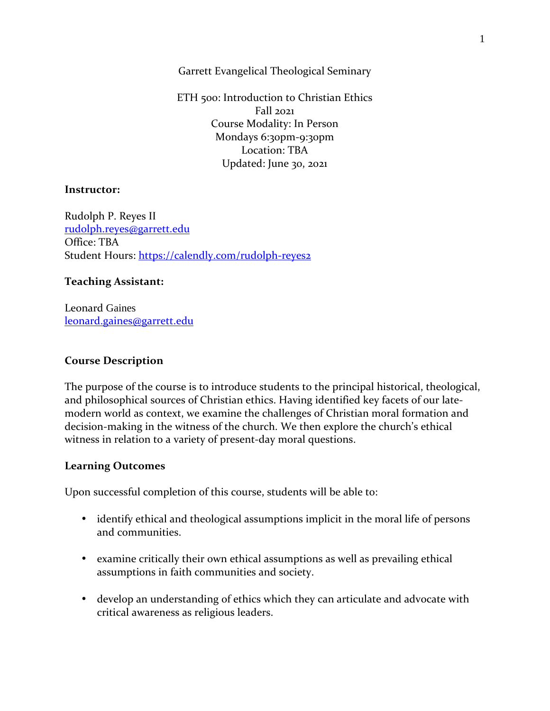Garrett Evangelical Theological Seminary

ETH 500: Introduction to Christian Ethics Fall 2021 Course Modality: In Person Mondays 6:30pm-9:30pm Location: TBA Updated: June 30, 2021

### **Instructor:**

Rudolph P. Reyes II rudolph.reyes@garrett.edu Office: TBA Student Hours: https://calendly.com/rudolph-reyes2

## **Teaching Assistant:**

Leonard Gaines leonard.gaines@garrett.edu

## **Course Description**

The purpose of the course is to introduce students to the principal historical, theological, and philosophical sources of Christian ethics. Having identified key facets of our latemodern world as context, we examine the challenges of Christian moral formation and decision-making in the witness of the church. We then explore the church's ethical witness in relation to a variety of present-day moral questions.

#### **Learning Outcomes**

Upon successful completion of this course, students will be able to:

- identify ethical and theological assumptions implicit in the moral life of persons and communities.
- examine critically their own ethical assumptions as well as prevailing ethical assumptions in faith communities and society.
- develop an understanding of ethics which they can articulate and advocate with critical awareness as religious leaders.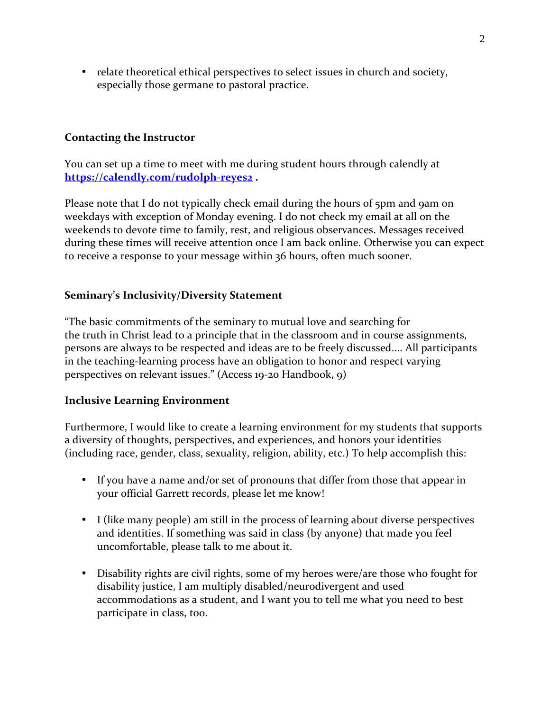• relate theoretical ethical perspectives to select issues in church and society, especially those germane to pastoral practice.

# **Contacting the Instructor**

You can set up a time to meet with me during student hours through calendly at **https://calendly.com/rudolph-reyes2 .** 

Please note that I do not typically check email during the hours of 5pm and 9am on weekdays with exception of Monday evening. I do not check my email at all on the weekends to devote time to family, rest, and religious observances. Messages received during these times will receive attention once I am back online. Otherwise you can expect to receive a response to your message within 36 hours, often much sooner.

# **Seminary's Inclusivity/Diversity Statement**

"The basic commitments of the seminary to mutual love and searching for the truth in Christ lead to a principle that in the classroom and in course assignments, persons are always to be respected and ideas are to be freely discussed.... All participants in the teaching-learning process have an obligation to honor and respect varying perspectives on relevant issues." (Access 19-20 Handbook, 9)

## **Inclusive Learning Environment**

Furthermore, I would like to create a learning environment for my students that supports a diversity of thoughts, perspectives, and experiences, and honors your identities (including race, gender, class, sexuality, religion, ability, etc.) To help accomplish this:

- If you have a name and/or set of pronouns that differ from those that appear in your official Garrett records, please let me know!
- I (like many people) am still in the process of learning about diverse perspectives and identities. If something was said in class (by anyone) that made you feel uncomfortable, please talk to me about it.
- Disability rights are civil rights, some of my heroes were/are those who fought for disability justice, I am multiply disabled/neurodivergent and used accommodations as a student, and I want you to tell me what you need to best participate in class, too.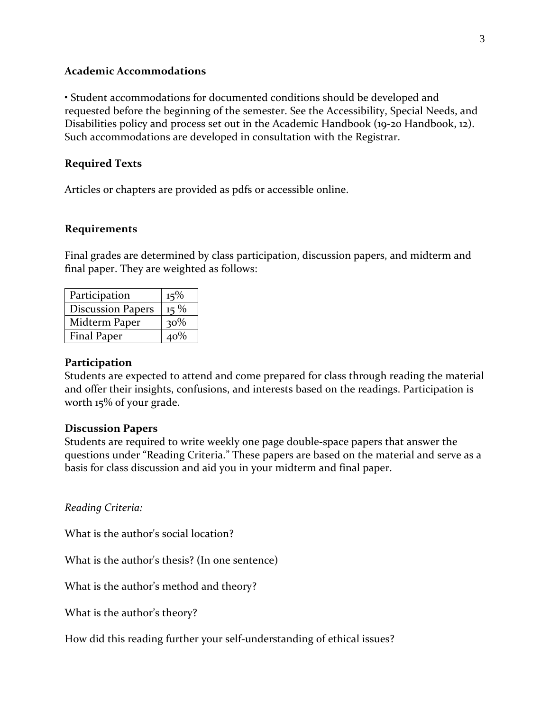#### **Academic Accommodations**

• Student accommodations for documented conditions should be developed and requested before the beginning of the semester. See the Accessibility, Special Needs, and Disabilities policy and process set out in the Academic Handbook (19-20 Handbook, 12). Such accommodations are developed in consultation with the Registrar.

#### **Required Texts**

Articles or chapters are provided as pdfs or accessible online.

#### **Requirements**

Final grades are determined by class participation, discussion papers, and midterm and final paper. They are weighted as follows:

| Participation            | $15\%$ |
|--------------------------|--------|
| <b>Discussion Papers</b> | $15\%$ |
| Midterm Paper            | $30\%$ |
| <b>Final Paper</b>       | 40%    |

#### **Participation**

Students are expected to attend and come prepared for class through reading the material and offer their insights, confusions, and interests based on the readings. Participation is worth 15% of your grade.

#### **Discussion Papers**

Students are required to write weekly one page double-space papers that answer the questions under "Reading Criteria." These papers are based on the material and serve as a basis for class discussion and aid you in your midterm and final paper.

*Reading Criteria:*

What is the author's social location?

What is the author's thesis? (In one sentence)

What is the author's method and theory?

What is the author's theory?

How did this reading further your self-understanding of ethical issues?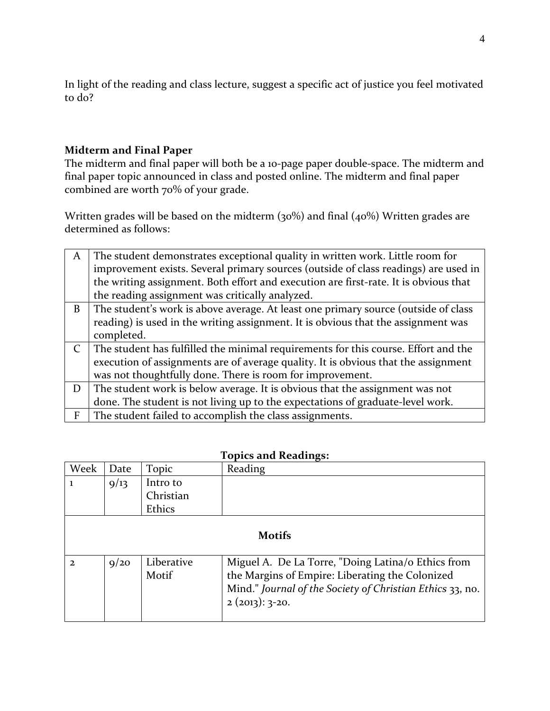In light of the reading and class lecture, suggest a specific act of justice you feel motivated to do?

# **Midterm and Final Paper**

The midterm and final paper will both be a 10-page paper double-space. The midterm and final paper topic announced in class and posted online. The midterm and final paper combined are worth 70% of your grade.

Written grades will be based on the midterm (30%) and final (40%) Written grades are determined as follows:

| A | The student demonstrates exceptional quality in written work. Little room for        |
|---|--------------------------------------------------------------------------------------|
|   | improvement exists. Several primary sources (outside of class readings) are used in  |
|   | the writing assignment. Both effort and execution are first-rate. It is obvious that |
|   | the reading assignment was critically analyzed.                                      |
| B | The student's work is above average. At least one primary source (outside of class   |
|   | reading) is used in the writing assignment. It is obvious that the assignment was    |
|   | completed.                                                                           |
|   | The student has fulfilled the minimal requirements for this course. Effort and the   |
|   | execution of assignments are of average quality. It is obvious that the assignment   |
|   | was not thoughtfully done. There is room for improvement.                            |
| D | The student work is below average. It is obvious that the assignment was not         |
|   | done. The student is not living up to the expectations of graduate-level work.       |
| F | The student failed to accomplish the class assignments.                              |

| Week          | Date | Topic               | Reading                                                                                                                                                                                |
|---------------|------|---------------------|----------------------------------------------------------------------------------------------------------------------------------------------------------------------------------------|
|               | 9/13 | Intro to            |                                                                                                                                                                                        |
|               |      | Christian           |                                                                                                                                                                                        |
|               |      | Ethics              |                                                                                                                                                                                        |
| <b>Motifs</b> |      |                     |                                                                                                                                                                                        |
| $\mathbf{2}$  | 9/20 | Liberative<br>Motif | Miguel A. De La Torre, "Doing Latina/o Ethics from<br>the Margins of Empire: Liberating the Colonized<br>Mind." Journal of the Society of Christian Ethics 33, no.<br>$2(2013): 3-20.$ |

# **Topics and Readings:**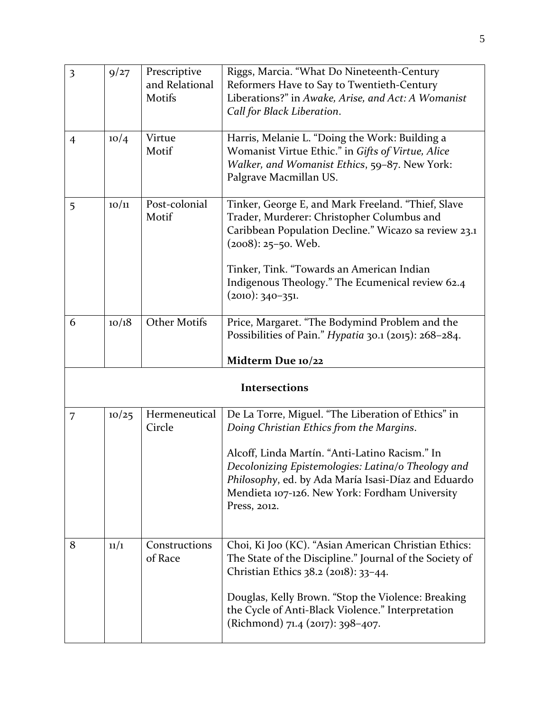| $\overline{\mathbf{3}}$ | 9/27  | Prescriptive<br>and Relational<br>Motifs | Riggs, Marcia. "What Do Nineteenth-Century<br>Reformers Have to Say to Twentieth-Century<br>Liberations?" in Awake, Arise, and Act: A Womanist<br>Call for Black Liberation.                                                                                                                                                    |
|-------------------------|-------|------------------------------------------|---------------------------------------------------------------------------------------------------------------------------------------------------------------------------------------------------------------------------------------------------------------------------------------------------------------------------------|
| $\overline{4}$          | 10/4  | Virtue<br>Motif                          | Harris, Melanie L. "Doing the Work: Building a<br>Womanist Virtue Ethic." in Gifts of Virtue, Alice<br>Walker, and Womanist Ethics, 59-87. New York:<br>Palgrave Macmillan US.                                                                                                                                                  |
| 5                       | 10/11 | Post-colonial<br>Motif                   | Tinker, George E, and Mark Freeland. "Thief, Slave<br>Trader, Murderer: Christopher Columbus and<br>Caribbean Population Decline." Wicazo sa review 23.1<br>$(2008): 25 - 50.$ Web.<br>Tinker, Tink. "Towards an American Indian<br>Indigenous Theology." The Ecumenical review 62.4<br>$(2010): 340-351.$                      |
| 6                       | 10/18 | <b>Other Motifs</b>                      | Price, Margaret. "The Bodymind Problem and the<br>Possibilities of Pain." Hypatia 30.1 (2015): 268-284.<br>Midterm Due 10/22                                                                                                                                                                                                    |
| Intersections           |       |                                          |                                                                                                                                                                                                                                                                                                                                 |
| 7                       | 10/25 | Hermeneutical<br>Circle                  | De La Torre, Miguel. "The Liberation of Ethics" in<br>Doing Christian Ethics from the Margins.<br>Alcoff, Linda Martín. "Anti-Latino Racism." In<br>Decolonizing Epistemologies: Latina/o Theology and<br>Philosophy, ed. by Ada María Isasi-Díaz and Eduardo<br>Mendieta 107-126. New York: Fordham University<br>Press, 2012. |
| 8                       | 11/1  | Constructions<br>of Race                 | Choi, Ki Joo (KC). "Asian American Christian Ethics:<br>The State of the Discipline." Journal of the Society of<br>Christian Ethics 38.2 (2018): 33-44.<br>Douglas, Kelly Brown. "Stop the Violence: Breaking<br>the Cycle of Anti-Black Violence." Interpretation<br>(Richmond) 71.4 (2017): 398-407.                          |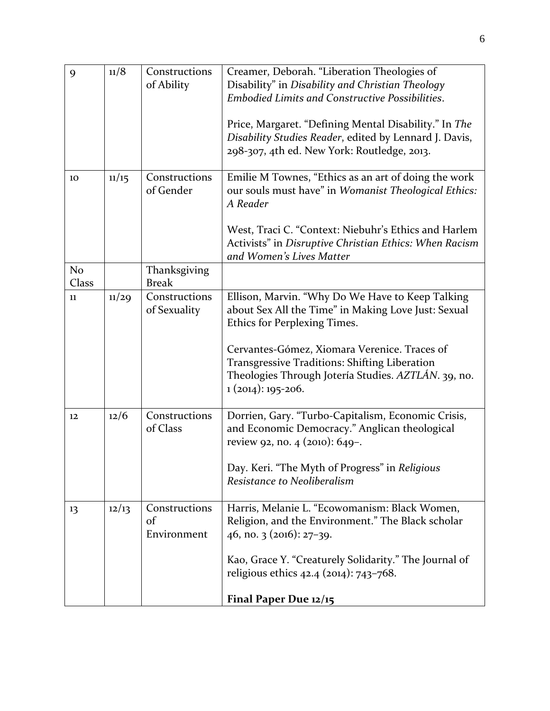| 9                       | 11/8  | Constructions<br>of Ability        | Creamer, Deborah. "Liberation Theologies of<br>Disability" in Disability and Christian Theology<br><b>Embodied Limits and Constructive Possibilities.</b><br>Price, Margaret. "Defining Mental Disability." In The<br>Disability Studies Reader, edited by Lennard J. Davis,<br>298-307, 4th ed. New York: Routledge, 2013. |
|-------------------------|-------|------------------------------------|-----------------------------------------------------------------------------------------------------------------------------------------------------------------------------------------------------------------------------------------------------------------------------------------------------------------------------|
| 10                      | 11/15 | Constructions<br>of Gender         | Emilie M Townes, "Ethics as an art of doing the work<br>our souls must have" in Womanist Theological Ethics:<br>A Reader<br>West, Traci C. "Context: Niebuhr's Ethics and Harlem<br>Activists" in Disruptive Christian Ethics: When Racism<br>and Women's Lives Matter                                                      |
| N <sub>o</sub><br>Class |       | Thanksgiving<br><b>Break</b>       |                                                                                                                                                                                                                                                                                                                             |
| 11                      | 11/29 | Constructions<br>of Sexuality      | Ellison, Marvin. "Why Do We Have to Keep Talking<br>about Sex All the Time" in Making Love Just: Sexual<br>Ethics for Perplexing Times.<br>Cervantes-Gómez, Xiomara Verenice. Traces of<br>Transgressive Traditions: Shifting Liberation<br>Theologies Through Jotería Studies. AZTLÁN. 39, no.<br>$1(2014): 195-206.$      |
| 12                      | 12/6  | Constructions<br>of Class          | Dorrien, Gary. "Turbo-Capitalism, Economic Crisis,<br>and Economic Democracy." Anglican theological<br>review 92, no. 4 (2010): 649-.<br>Day. Keri. "The Myth of Progress" in Religious<br>Resistance to Neoliberalism                                                                                                      |
| 13                      | 12/13 | Constructions<br>of<br>Environment | Harris, Melanie L. "Ecowomanism: Black Women,<br>Religion, and the Environment." The Black scholar<br>46, no. 3 (2016): 27-39.<br>Kao, Grace Y. "Creaturely Solidarity." The Journal of<br>religious ethics $42.4$ ( $2014$ ): $743-768$ .<br>Final Paper Due 12/15                                                         |